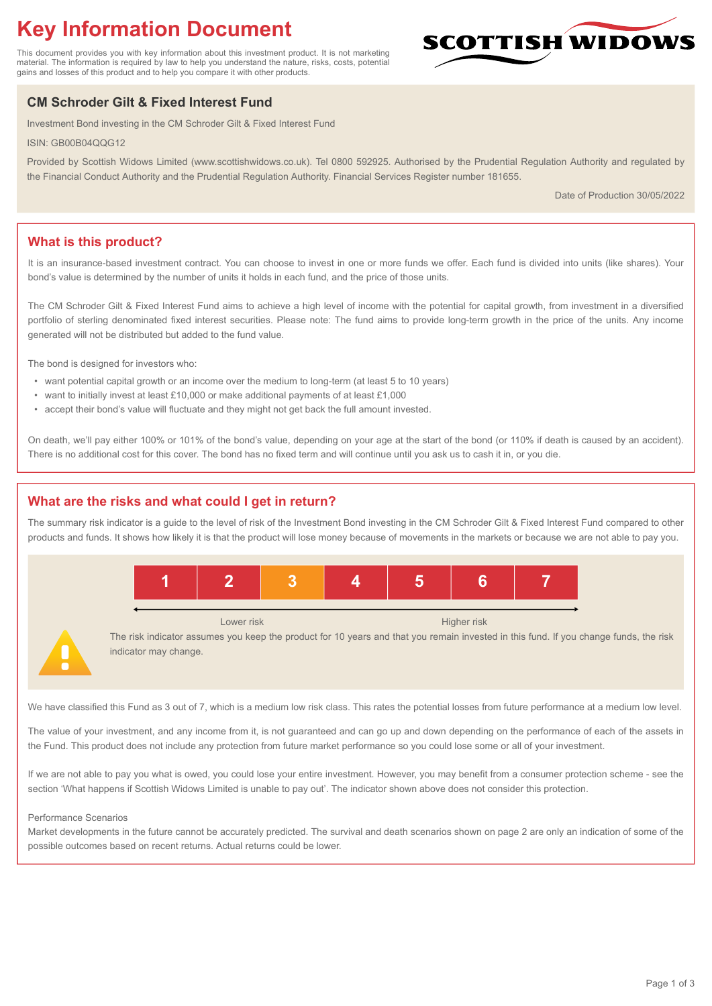# **Key Information Document**

This document provides you with key information about this investment product. It is not marketing material. The information is required by law to help you understand the nature, risks, costs, potential gains and losses of this product and to help you compare it with other products.

## **CM Schroder Gilt & Fixed Interest Fund**

Investment Bond investing in the CM Schroder Gilt & Fixed Interest Fund

ISIN: GB00B04QQG12

Provided by Scottish Widows Limited (www.scottishwidows.co.uk). Tel 0800 592925. Authorised by the Prudential Regulation Authority and regulated by the Financial Conduct Authority and the Prudential Regulation Authority. Financial Services Register number 181655.

Date of Production 30/05/2022

**SCOTTISH WIDOW** 

## **What is this product?**

It is an insurance-based investment contract. You can choose to invest in one or more funds we offer. Each fund is divided into units (like shares). Your bond's value is determined by the number of units it holds in each fund, and the price of those units.

The CM Schroder Gilt & Fixed Interest Fund aims to achieve a high level of income with the potential for capital growth, from investment in a diversified portfolio of sterling denominated fixed interest securities. Please note: The fund aims to provide long-term growth in the price of the units. Any income generated will not be distributed but added to the fund value.

The bond is designed for investors who:

- want potential capital growth or an income over the medium to long-term (at least 5 to 10 years)
- want to initially invest at least £10,000 or make additional payments of at least £1,000
- accept their bond's value will fluctuate and they might not get back the full amount invested.

On death, we'll pay either 100% or 101% of the bond's value, depending on your age at the start of the bond (or 110% if death is caused by an accident). There is no additional cost for this cover. The bond has no fixed term and will continue until you ask us to cash it in, or you die.

## **What are the risks and what could I get in return?**

The summary risk indicator is a guide to the level of risk of the Investment Bond investing in the CM Schroder Gilt & Fixed Interest Fund compared to other products and funds. It shows how likely it is that the product will lose money because of movements in the markets or because we are not able to pay you.



The risk indicator assumes you keep the product for 10 years and that you remain invested in this fund. If you change funds, the risk indicator may change.

We have classified this Fund as 3 out of 7, which is a medium low risk class. This rates the potential losses from future performance at a medium low level.

The value of your investment, and any income from it, is not guaranteed and can go up and down depending on the performance of each of the assets in the Fund. This product does not include any protection from future market performance so you could lose some or all of your investment.

If we are not able to pay you what is owed, you could lose your entire investment. However, you may benefit from a consumer protection scheme - see the section 'What happens if Scottish Widows Limited is unable to pay out'. The indicator shown above does not consider this protection.

#### Performance Scenarios

Market developments in the future cannot be accurately predicted. The survival and death scenarios shown on page 2 are only an indication of some of the possible outcomes based on recent returns. Actual returns could be lower.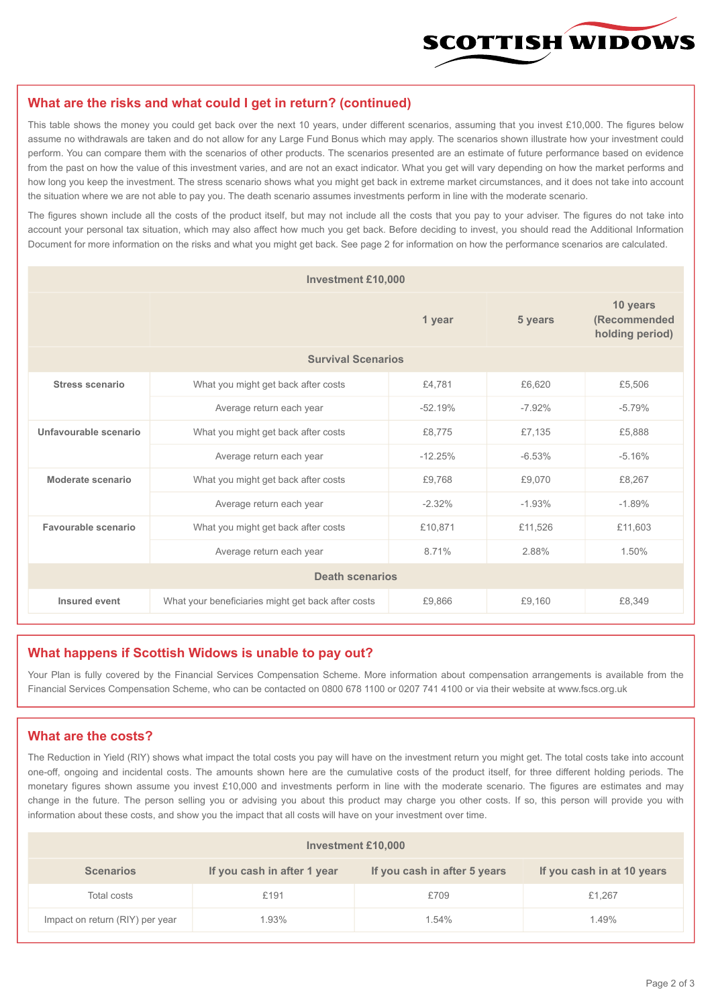

#### **What are the risks and what could I get in return? (continued)**

This table shows the money you could get back over the next 10 years, under different scenarios, assuming that you invest £10,000. The figures below assume no withdrawals are taken and do not allow for any Large Fund Bonus which may apply. The scenarios shown illustrate how your investment could perform. You can compare them with the scenarios of other products. The scenarios presented are an estimate of future performance based on evidence from the past on how the value of this investment varies, and are not an exact indicator. What you get will vary depending on how the market performs and how long you keep the investment. The stress scenario shows what you might get back in extreme market circumstances, and it does not take into account the situation where we are not able to pay you. The death scenario assumes investments perform in line with the moderate scenario.

The figures shown include all the costs of the product itself, but may not include all the costs that you pay to your adviser. The figures do not take into account your personal tax situation, which may also affect how much you get back. Before deciding to invest, you should read the Additional Information Document for more information on the risks and what you might get back. See page 2 for information on how the performance scenarios are calculated.

| <b>Investment £10,000</b> |                                                    |           |          |                                             |  |  |
|---------------------------|----------------------------------------------------|-----------|----------|---------------------------------------------|--|--|
|                           |                                                    | 1 year    | 5 years  | 10 years<br>(Recommended<br>holding period) |  |  |
| <b>Survival Scenarios</b> |                                                    |           |          |                                             |  |  |
| <b>Stress scenario</b>    | £4,781<br>What you might get back after costs      |           | £6,620   | £5,506                                      |  |  |
|                           | Average return each year                           | $-52.19%$ | $-7.92%$ | $-5.79%$                                    |  |  |
| Unfavourable scenario     | What you might get back after costs<br>£8,775      |           | £7,135   | £5,888                                      |  |  |
|                           | Average return each year                           | $-12.25%$ | $-6.53%$ | $-5.16%$                                    |  |  |
| Moderate scenario         | What you might get back after costs                | £9,768    | £9,070   | £8,267                                      |  |  |
|                           | Average return each year                           | $-2.32%$  | $-1.93%$ | $-1.89%$                                    |  |  |
| Favourable scenario       | What you might get back after costs                | £10,871   | £11,526  | £11,603                                     |  |  |
| Average return each year  |                                                    | 8.71%     | 2.88%    | 1.50%                                       |  |  |
| <b>Death scenarios</b>    |                                                    |           |          |                                             |  |  |
| Insured event             | What your beneficiaries might get back after costs | £9,866    | £9.160   | £8,349                                      |  |  |

#### **What happens if Scottish Widows is unable to pay out?**

Your Plan is fully covered by the Financial Services Compensation Scheme. More information about compensation arrangements is available from the Financial Services Compensation Scheme, who can be contacted on 0800 678 1100 or 0207 741 4100 or via their website at www.fscs.org.uk

#### **What are the costs?**

The Reduction in Yield (RIY) shows what impact the total costs you pay will have on the investment return you might get. The total costs take into account one-off, ongoing and incidental costs. The amounts shown here are the cumulative costs of the product itself, for three different holding periods. The monetary figures shown assume you invest £10,000 and investments perform in line with the moderate scenario. The figures are estimates and may change in the future. The person selling you or advising you about this product may charge you other costs. If so, this person will provide you with information about these costs, and show you the impact that all costs will have on your investment over time.

| Investment £10,000              |                             |                              |                            |  |  |  |
|---------------------------------|-----------------------------|------------------------------|----------------------------|--|--|--|
| <b>Scenarios</b>                | If you cash in after 1 year | If you cash in after 5 years | If you cash in at 10 years |  |  |  |
| Total costs                     | £191                        | £709                         | £1,267                     |  |  |  |
| Impact on return (RIY) per year | 1.93%                       | 1.54%                        | 1.49%                      |  |  |  |